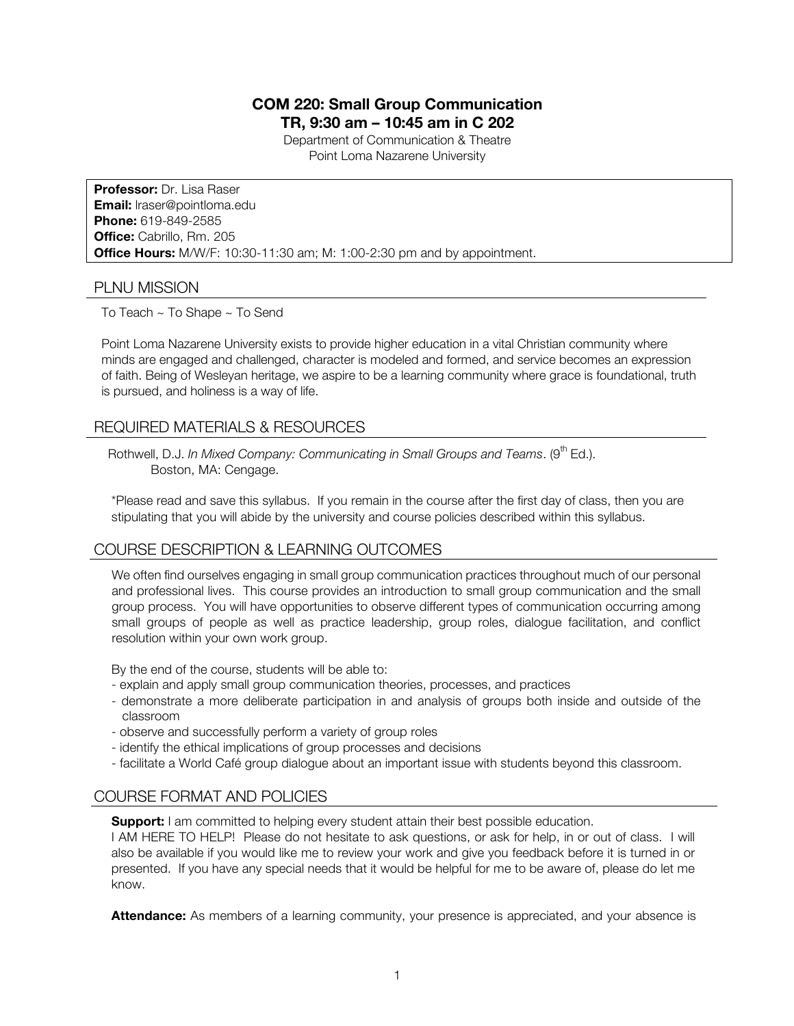# **COM 220: Small Group Communication TR, 9:30 am – 10:45 am in C 202**

Department of Communication & Theatre Point Loma Nazarene University

**Professor:** Dr. Lisa Raser **Email:** lraser@pointloma.edu **Phone:** 619-849-2585 **Office:** Cabrillo, Rm. 205 **Office Hours:** M/W/F: 10:30-11:30 am; M: 1:00-2:30 pm and by appointment.

### PLNU MISSION

To Teach ~ To Shape ~ To Send

Point Loma Nazarene University exists to provide higher education in a vital Christian community where minds are engaged and challenged, character is modeled and formed, and service becomes an expression of faith. Being of Wesleyan heritage, we aspire to be a learning community where grace is foundational, truth is pursued, and holiness is a way of life.

## REQUIRED MATERIALS & RESOURCES

Rothwell, D.J. *In Mixed Company: Communicating in Small Groups and Teams.* (9<sup>th</sup> Ed.). Boston, MA: Cengage.

\*Please read and save this syllabus. If you remain in the course after the first day of class, then you are stipulating that you will abide by the university and course policies described within this syllabus.

# COURSE DESCRIPTION & LEARNING OUTCOMES

We often find ourselves engaging in small group communication practices throughout much of our personal and professional lives. This course provides an introduction to small group communication and the small group process. You will have opportunities to observe different types of communication occurring among small groups of people as well as practice leadership, group roles, dialogue facilitation, and conflict resolution within your own work group.

By the end of the course, students will be able to:

- explain and apply small group communication theories, processes, and practices
- demonstrate a more deliberate participation in and analysis of groups both inside and outside of the classroom
- observe and successfully perform a variety of group roles
- identify the ethical implications of group processes and decisions
- facilitate a World Café group dialogue about an important issue with students beyond this classroom.

# COURSE FORMAT AND POLICIES

**Support:** I am committed to helping every student attain their best possible education.

I AM HERE TO HELP! Please do not hesitate to ask questions, or ask for help, in or out of class. I will also be available if you would like me to review your work and give you feedback before it is turned in or presented. If you have any special needs that it would be helpful for me to be aware of, please do let me know.

**Attendance:** As members of a learning community, your presence is appreciated, and your absence is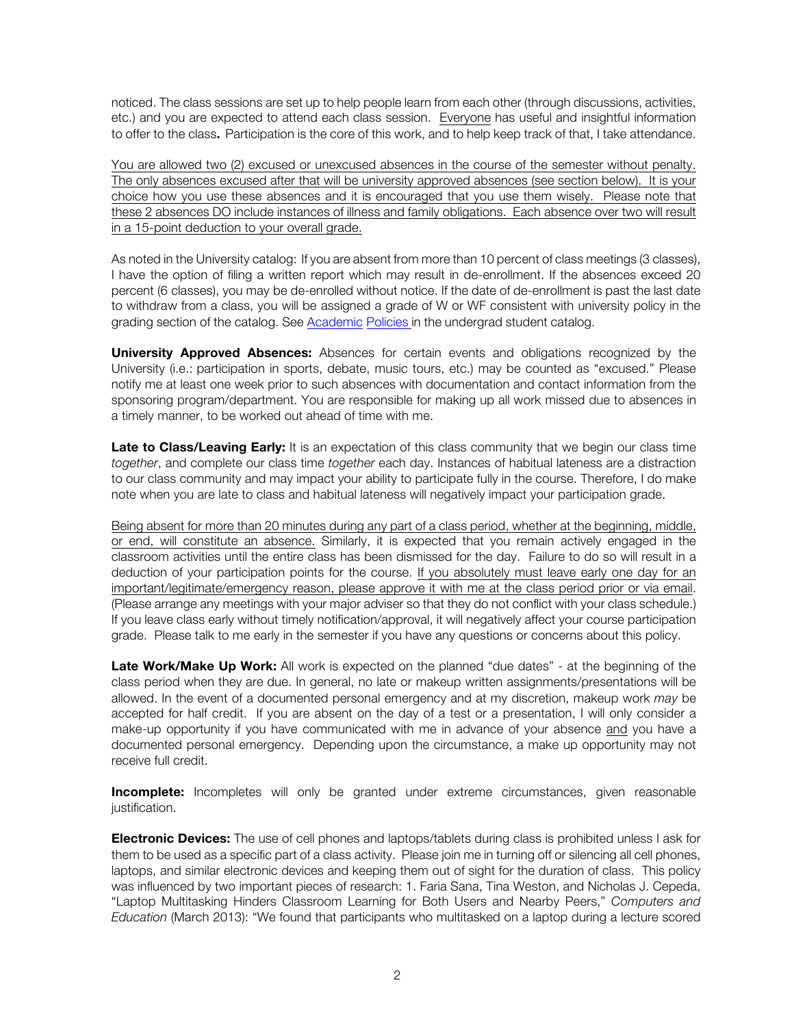noticed. The class sessions are set up to help people learn from each other (through discussions, activities, etc.) and you are expected to attend each class session. Everyone has useful and insightful information to offer to the class. Participation is the core of this work, and to help keep track of that, I take attendance.

You are allowed two (2) excused or unexcused absences in the course of the semester without penalty. The only absences excused after that will be university approved absences (see section below). It is your choice how you use these absences and it is encouraged that you use them wisely. Please note that these 2 absences DO include instances of illness and family obligations. Each absence over two will result in a 15-point deduction to your overall grade.

As noted in the University catalog: If you are absent from more than 10 percent of class meetings (3 classes), I have the option of filing a written report which may result in de-enrollment. If the absences exceed 20 percent (6 classes), you may be de-enrolled without notice. If the date of de-enrollment is past the last date to withdraw from a class, you will be assigned a grade of W or WF consistent with university policy in the grading section of the catalog. See **Academic Policies in the undergrad student catalog.** 

**University Approved Absences:** Absences for certain events and obligations recognized by the University (i.e.: participation in sports, debate, music tours, etc.) may be counted as "excused." Please notify me at least one week prior to such absences with documentation and contact information from the sponsoring program/department. You are responsible for making up all work missed due to absences in a timely manner, to be worked out ahead of time with me.

Late to Class/Leaving Early: It is an expectation of this class community that we begin our class time *together*, and complete our class time *together* each day. Instances of habitual lateness are a distraction to our class community and may impact your ability to participate fully in the course. Therefore, I do make note when you are late to class and habitual lateness will negatively impact your participation grade.

Being absent for more than 20 minutes during any part of a class period, whether at the beginning, middle, or end, will constitute an absence. Similarly, it is expected that you remain actively engaged in the classroom activities until the entire class has been dismissed for the day. Failure to do so will result in a deduction of your participation points for the course. If you absolutely must leave early one day for an important/legitimate/emergency reason, please approve it with me at the class period prior or via email. (Please arrange any meetings with your major adviser so that they do not conflict with your class schedule.) If you leave class early without timely notification/approval, it will negatively affect your course participation grade. Please talk to me early in the semester if you have any questions or concerns about this policy.

**Late Work/Make Up Work:** All work is expected on the planned "due dates" - at the beginning of the class period when they are due. In general, no late or makeup written assignments/presentations will be allowed. In the event of a documented personal emergency and at my discretion, makeup work *may* be accepted for half credit. If you are absent on the day of a test or a presentation, I will only consider a make-up opportunity if you have communicated with me in advance of your absence and you have a documented personal emergency. Depending upon the circumstance, a make up opportunity may not receive full credit.

**Incomplete:** Incompletes will only be granted under extreme circumstances, given reasonable justification.

**Electronic Devices:** The use of cell phones and laptops/tablets during class is prohibited unless I ask for them to be used as a specific part of a class activity. Please join me in turning off or silencing all cell phones, laptops, and similar electronic devices and keeping them out of sight for the duration of class. This policy was influenced by two important pieces of research: 1. Faria Sana, Tina Weston, and Nicholas J. Cepeda, "Laptop Multitasking Hinders Classroom Learning for Both Users and Nearby Peers," *Computers and Education* (March 2013): "We found that participants who multitasked on a laptop during a lecture scored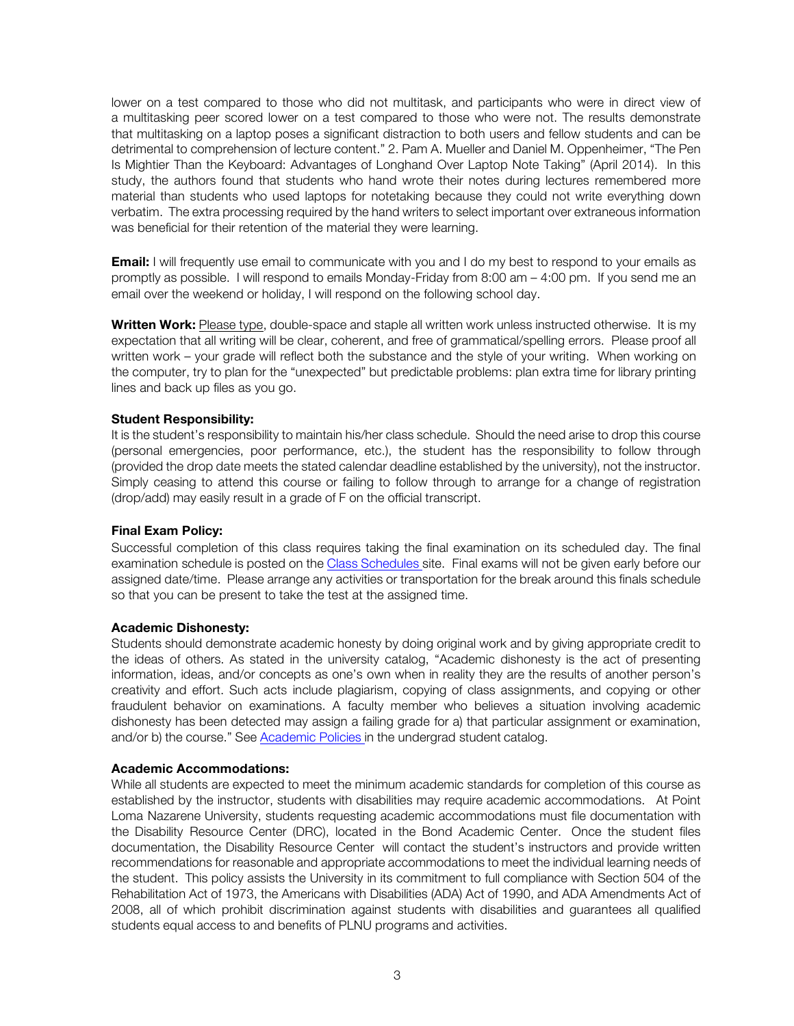lower on a test compared to those who did not multitask, and participants who were in direct view of a multitasking peer scored lower on a test compared to those who were not. The results demonstrate that multitasking on a laptop poses a significant distraction to both users and fellow students and can be detrimental to comprehension of lecture content." 2. Pam A. Mueller and Daniel M. Oppenheimer, "The Pen Is Mightier Than the Keyboard: Advantages of Longhand Over Laptop Note Taking" (April 2014). In this study, the authors found that students who hand wrote their notes during lectures remembered more material than students who used laptops for notetaking because they could not write everything down verbatim. The extra processing required by the hand writers to select important over extraneous information was beneficial for their retention of the material they were learning.

**Email:** I will frequently use email to communicate with you and I do my best to respond to your emails as promptly as possible. I will respond to emails Monday-Friday from 8:00 am – 4:00 pm. If you send me an email over the weekend or holiday, I will respond on the following school day.

**Written Work:** Please type, double-space and staple all written work unless instructed otherwise.It is my expectation that all writing will be clear, coherent, and free of grammatical/spelling errors. Please proof all written work – your grade will reflect both the substance and the style of your writing. When working on the computer, try to plan for the "unexpected" but predictable problems: plan extra time for library printing lines and back up files as you go.

#### **Student Responsibility:**

It is the student's responsibility to maintain his/her class schedule. Should the need arise to drop this course (personal emergencies, poor performance, etc.), the student has the responsibility to follow through (provided the drop date meets the stated calendar deadline established by the university), not the instructor. Simply ceasing to attend this course or failing to follow through to arrange for a change of registration (drop/add) may easily result in a grade of F on the official transcript.

#### **Final Exam Policy:**

Successful completion of this class requires taking the final examination on its scheduled day. The final examination schedule is posted on the Class Schedules site. Final exams will not be given early before our assigned date/time. Please arrange any activities or transportation for the break around this finals schedule so that you can be present to take the test at the assigned time.

#### **Academic Dishonesty:**

Students should demonstrate academic honesty by doing original work and by giving appropriate credit to the ideas of others. As stated in the university catalog, "Academic dishonesty is the act of presenting information, ideas, and/or concepts as one's own when in reality they are the results of another person's creativity and effort. Such acts include plagiarism, copying of class assignments, and copying or other fraudulent behavior on examinations. A faculty member who believes a situation involving academic dishonesty has been detected may assign a failing grade for a) that particular assignment or examination, and/or b) the course." See Academic Policies in the undergrad student catalog.

#### **Academic Accommodations:**

While all students are expected to meet the minimum academic standards for completion of this course as established by the instructor, students with disabilities may require academic accommodations. At Point Loma Nazarene University, students requesting academic accommodations must file documentation with the Disability Resource Center (DRC), located in the Bond Academic Center. Once the student files documentation, the Disability Resource Center will contact the student's instructors and provide written recommendations for reasonable and appropriate accommodations to meet the individual learning needs of the student. This policy assists the University in its commitment to full compliance with Section 504 of the Rehabilitation Act of 1973, the Americans with Disabilities (ADA) Act of 1990, and ADA Amendments Act of 2008, all of which prohibit discrimination against students with disabilities and guarantees all qualified students equal access to and benefits of PLNU programs and activities.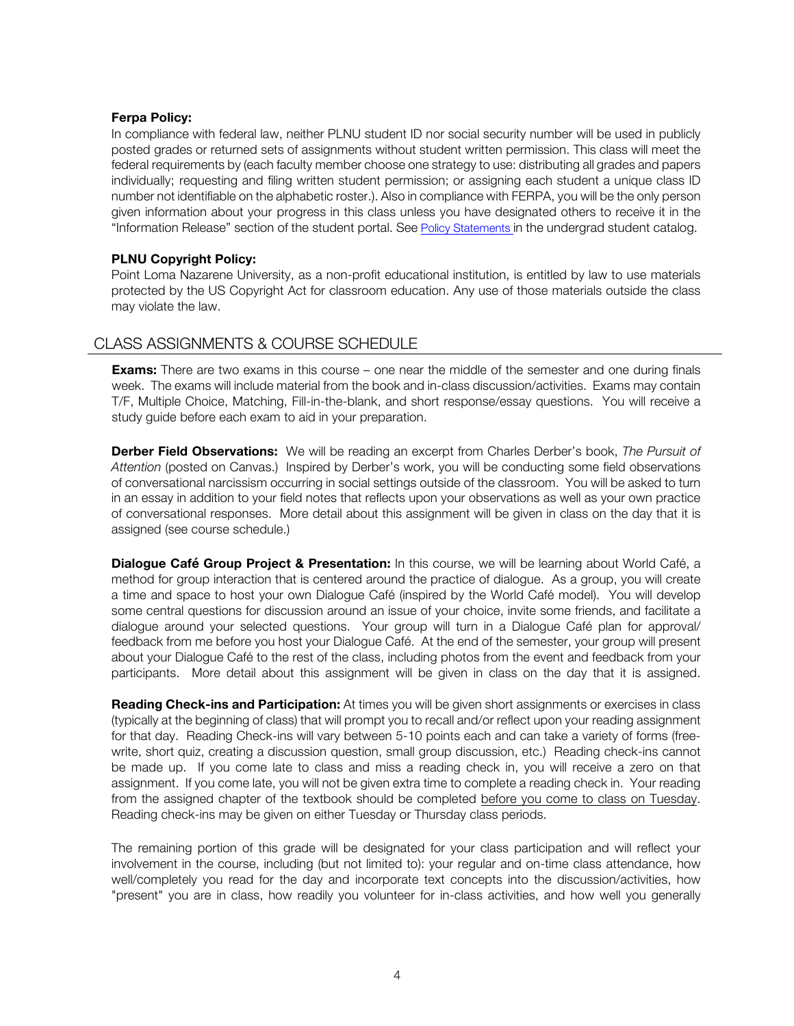#### **Ferpa Policy:**

In compliance with federal law, neither PLNU student ID nor social security number will be used in publicly posted grades or returned sets of assignments without student written permission. This class will meet the federal requirements by (each faculty member choose one strategy to use: distributing all grades and papers individually; requesting and filing written student permission; or assigning each student a unique class ID number not identifiable on the alphabetic roster.). Also in compliance with FERPA, you will be the only person given information about your progress in this class unless you have designated others to receive it in the "Information Release" section of the student portal. See Policy Statements in the undergrad student catalog.

### **PLNU Copyright Policy:**

Point Loma Nazarene University, as a non-profit educational institution, is entitled by law to use materials protected by the US Copyright Act for classroom education. Any use of those materials outside the class may violate the law.

# CLASS ASSIGNMENTS & COURSE SCHEDULE

**Exams:** There are two exams in this course – one near the middle of the semester and one during finals week. The exams will include material from the book and in-class discussion/activities. Exams may contain T/F, Multiple Choice, Matching, Fill-in-the-blank, and short response/essay questions. You will receive a study guide before each exam to aid in your preparation.

**Derber Field Observations:** We will be reading an excerpt from Charles Derber's book, *The Pursuit of Attention* (posted on Canvas.) Inspired by Derber's work, you will be conducting some field observations of conversational narcissism occurring in social settings outside of the classroom. You will be asked to turn in an essay in addition to your field notes that reflects upon your observations as well as your own practice of conversational responses. More detail about this assignment will be given in class on the day that it is assigned (see course schedule.)

**Dialogue Café Group Project & Presentation:** In this course, we will be learning about World Café, a method for group interaction that is centered around the practice of dialogue. As a group, you will create a time and space to host your own Dialogue Café (inspired by the World Café model). You will develop some central questions for discussion around an issue of your choice, invite some friends, and facilitate a dialogue around your selected questions. Your group will turn in a Dialogue Café plan for approval/ feedback from me before you host your Dialogue Café. At the end of the semester, your group will present about your Dialogue Café to the rest of the class, including photos from the event and feedback from your participants. More detail about this assignment will be given in class on the day that it is assigned.

**Reading Check-ins and Participation:** At times you will be given short assignments or exercises in class (typically at the beginning of class) that will prompt you to recall and/or reflect upon your reading assignment for that day. Reading Check-ins will vary between 5-10 points each and can take a variety of forms (freewrite, short quiz, creating a discussion question, small group discussion, etc.) Reading check-ins cannot be made up. If you come late to class and miss a reading check in, you will receive a zero on that assignment. If you come late, you will not be given extra time to complete a reading check in. Your reading from the assigned chapter of the textbook should be completed before you come to class on Tuesday. Reading check-ins may be given on either Tuesday or Thursday class periods.

The remaining portion of this grade will be designated for your class participation and will reflect your involvement in the course, including (but not limited to): your regular and on-time class attendance, how well/completely you read for the day and incorporate text concepts into the discussion/activities, how "present" you are in class, how readily you volunteer for in-class activities, and how well you generally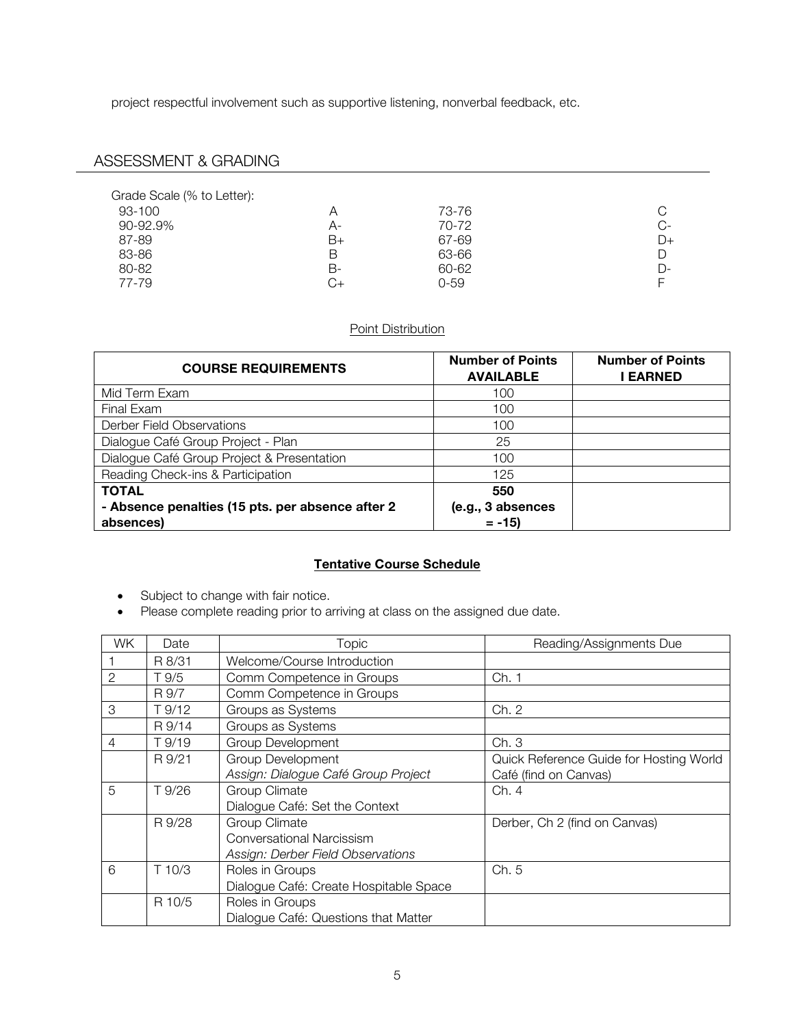project respectful involvement such as supportive listening, nonverbal feedback, etc.

# ASSESSMENT & GRADING

| Grade Scale (% to Letter): |           |          |      |
|----------------------------|-----------|----------|------|
| 93-100                     | Α         | 73-76    | C    |
| 90-92.9%                   | А-        | 70-72    | $C-$ |
| 87-89                      | B+        | 67-69    | D+   |
| 83-86                      | В         | 63-66    | D    |
| 80-82                      | B-        | 60-62    | D-   |
| 77-79                      | $C_{\pm}$ | $0 - 59$ | Е    |

## Point Distribution

| <b>COURSE REQUIREMENTS</b>                       | <b>Number of Points</b><br><b>AVAILABLE</b> | <b>Number of Points</b><br>I EARNED |
|--------------------------------------------------|---------------------------------------------|-------------------------------------|
| Mid Term Exam                                    | 100                                         |                                     |
| Final Exam                                       | 100                                         |                                     |
| Derber Field Observations                        | 100                                         |                                     |
| Dialogue Café Group Project - Plan               | 25                                          |                                     |
| Dialogue Café Group Project & Presentation       | 100                                         |                                     |
| Reading Check-ins & Participation                | 125                                         |                                     |
| <b>TOTAL</b>                                     | 550                                         |                                     |
| - Absence penalties (15 pts. per absence after 2 | (e.g., 3 absences                           |                                     |
| absences)                                        | $= -15$                                     |                                     |

# **Tentative Course Schedule**

- Subject to change with fair notice.
- Please complete reading prior to arriving at class on the assigned due date.

| WK. | Date   | <b>Topic</b>                           | Reading/Assignments Due                 |
|-----|--------|----------------------------------------|-----------------------------------------|
|     | R 8/31 | Welcome/Course Introduction            |                                         |
|     | T 9/5  | Comm Competence in Groups              | Ch. 1                                   |
|     | R 9/7  | Comm Competence in Groups              |                                         |
| 3   | T 9/12 | Groups as Systems                      | Ch. 2                                   |
|     | R 9/14 | Groups as Systems                      |                                         |
| 4   | T 9/19 | <b>Group Development</b>               | Ch. 3                                   |
|     | R 9/21 | Group Development                      | Quick Reference Guide for Hosting World |
|     |        | Assign: Dialogue Café Group Project    | Café (find on Canvas)                   |
| 5   | T 9/26 | Group Climate                          | Ch. 4                                   |
|     |        | Dialogue Café: Set the Context         |                                         |
|     | R 9/28 | Group Climate                          | Derber, Ch 2 (find on Canvas)           |
|     |        | <b>Conversational Narcissism</b>       |                                         |
|     |        | Assign: Derber Field Observations      |                                         |
| 6   | T 10/3 | Roles in Groups                        | Ch. 5                                   |
|     |        | Dialogue Café: Create Hospitable Space |                                         |
|     | R 10/5 | Roles in Groups                        |                                         |
|     |        | Dialogue Café: Questions that Matter   |                                         |